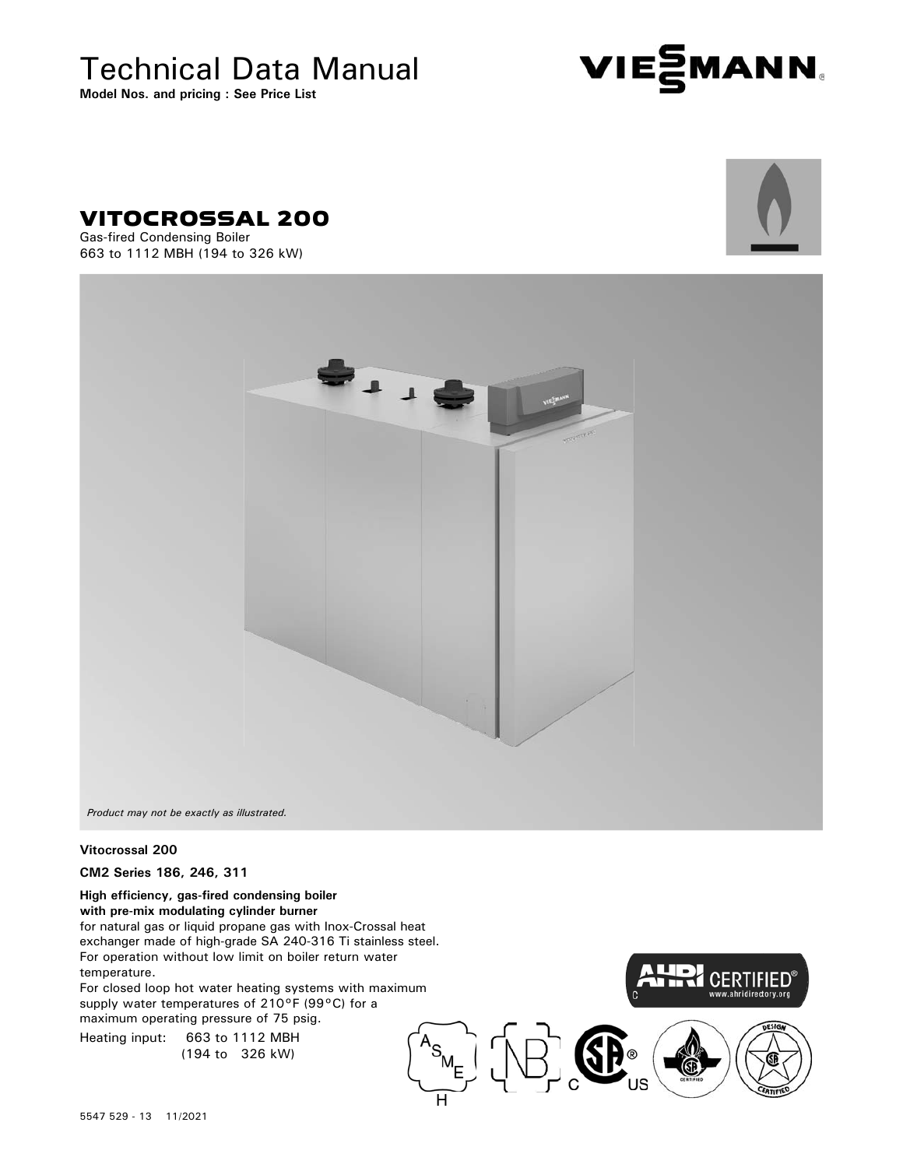# Technical Data Manual

**Model Nos. and pricing : See Price List**





Gas-fired Condensing Boiler 663 to 1112 MBH (194 to 326 kW)





H

*Product may not be exactly as illustrated.*

### **Vitocrossal 200**

**CM2 Series 186, 246, 311**

**High efficiency, gas-fired condensing boiler with pre-mix modulating cylinder burner** for natural gas or liquid propane gas with Inox-Crossal heat exchanger made of high-grade SA 240-316 Ti stainless steel. For operation without low limit on boiler return water temperature.

For closed loop hot water heating systems with maximum supply water temperatures of 210°F (99°C) for a maximum operating pressure of 75 psig.

Heating input: 663 to 1112 MBH (194 to 326 kW)

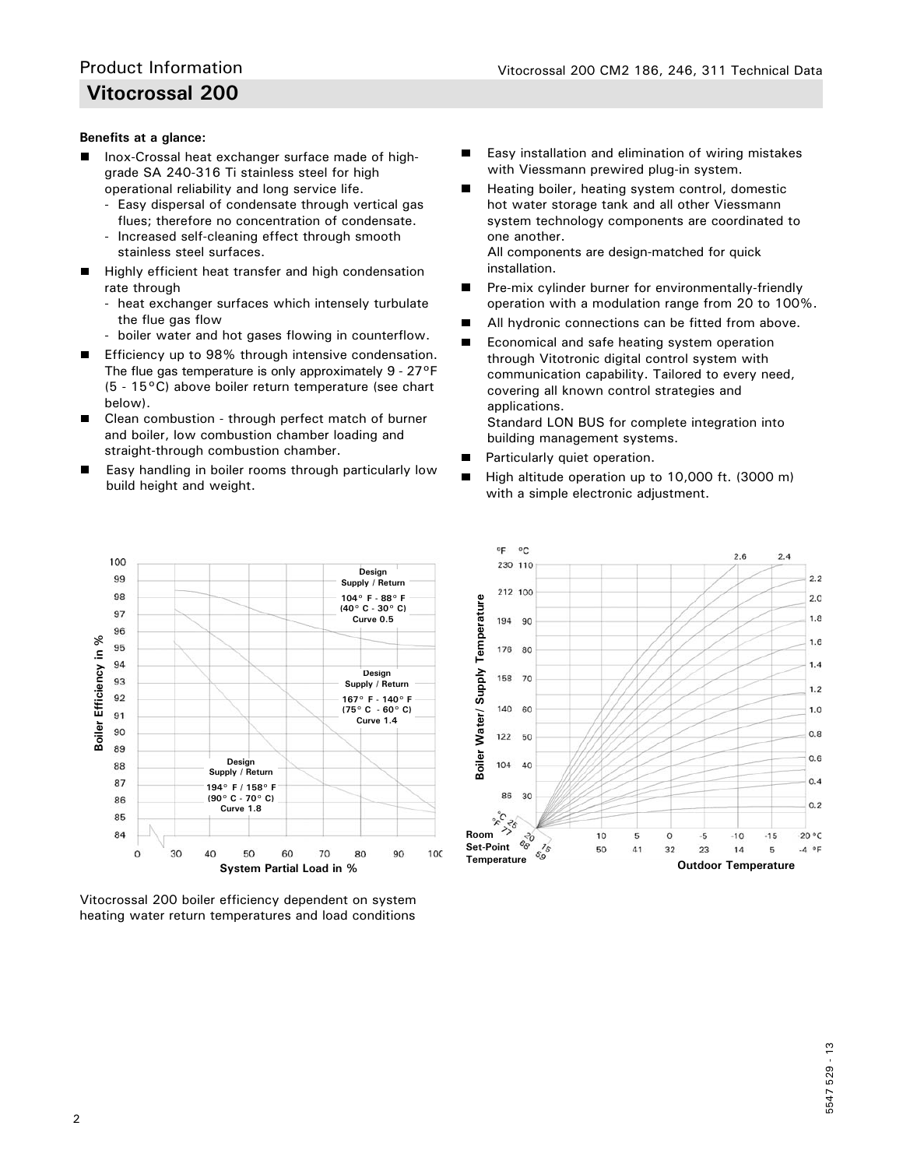### **Benefits at a glance:**

- Inox-Crossal heat exchanger surface made of high grade SA 240-316 Ti stainless steel for high operational reliability and long service life.
	- Easy dispersal of condensate through vertical gas flues; therefore no concentration of condensate.
	- Increased self-cleaning effect through smooth stainless steel surfaces.
- $\blacksquare$  Highly efficient heat transfer and high condensation rate through
	- heat exchanger surfaces which intensely turbulate the flue gas flow
	- boiler water and hot gases flowing in counterflow.
- Efficiency up to 98% through intensive condensation. The flue gas temperature is only approximately 9 - 27°F (5 - 15°C) above boiler return temperature (see chart below).
- Clean combustion through perfect match of burner and boiler, low combustion chamber loading and straight-through combustion chamber.
- Easy handling in boiler rooms through particularly low build height and weight.
- Easy installation and elimination of wiring mistakes ■ with Viessmann prewired plug-in system.
- Heating boiler, heating system control, domestic п hot water storage tank and all other Viessmann system technology components are coordinated to one another.

 All components are design-matched for quick installation.

- Pre-mix cylinder burner for environmentally-friendly operation with a modulation range from 20 to 100%.
- All hydronic connections can be fitted from above.
- $\blacksquare$  Economical and safe heating system operation through Vitotronic digital control system with communication capability. Tailored to every need, covering all known control strategies and applications.

 Standard LON BUS for complete integration into building management systems.

- $\blacksquare$ Particularly quiet operation.
- $\blacksquare$  High altitude operation up to 10,000 ft. (3000 m) with a simple electronic adjustment.



Vitocrossal 200 boiler efficiency dependent on system

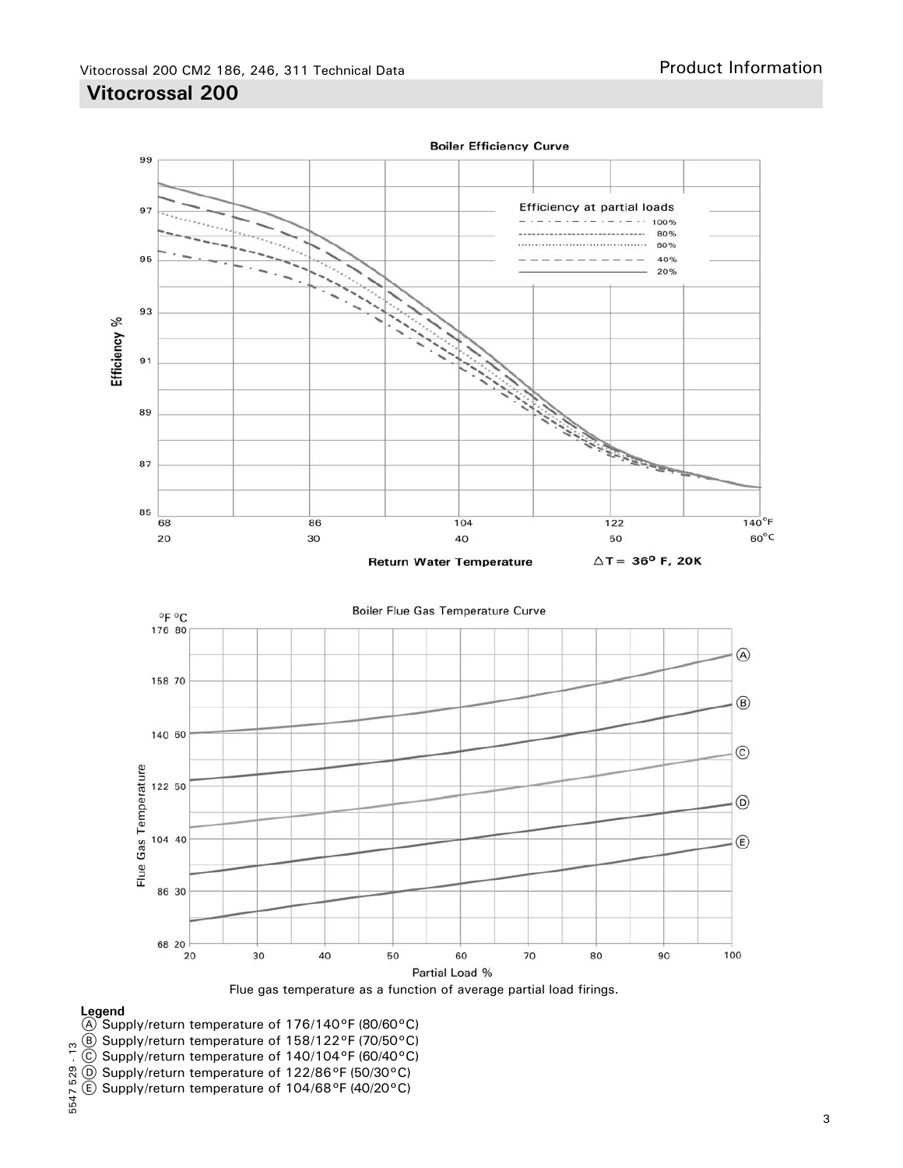





### **Legend**

- $(A)$  Supply/return temperature of 176/140°F (80/60°C)
- B Supply/return temperature of 158/122°F (70/50°C)
- C Supply/return temperature of 140/104°F (60/40°C)
- D Supply/return temperature of 122/86°F (50/30°C)
- $(E)$  Supply/return temperature of 104/68°F (40/20°C)

# 5547 529 - 13 5547 529 - 13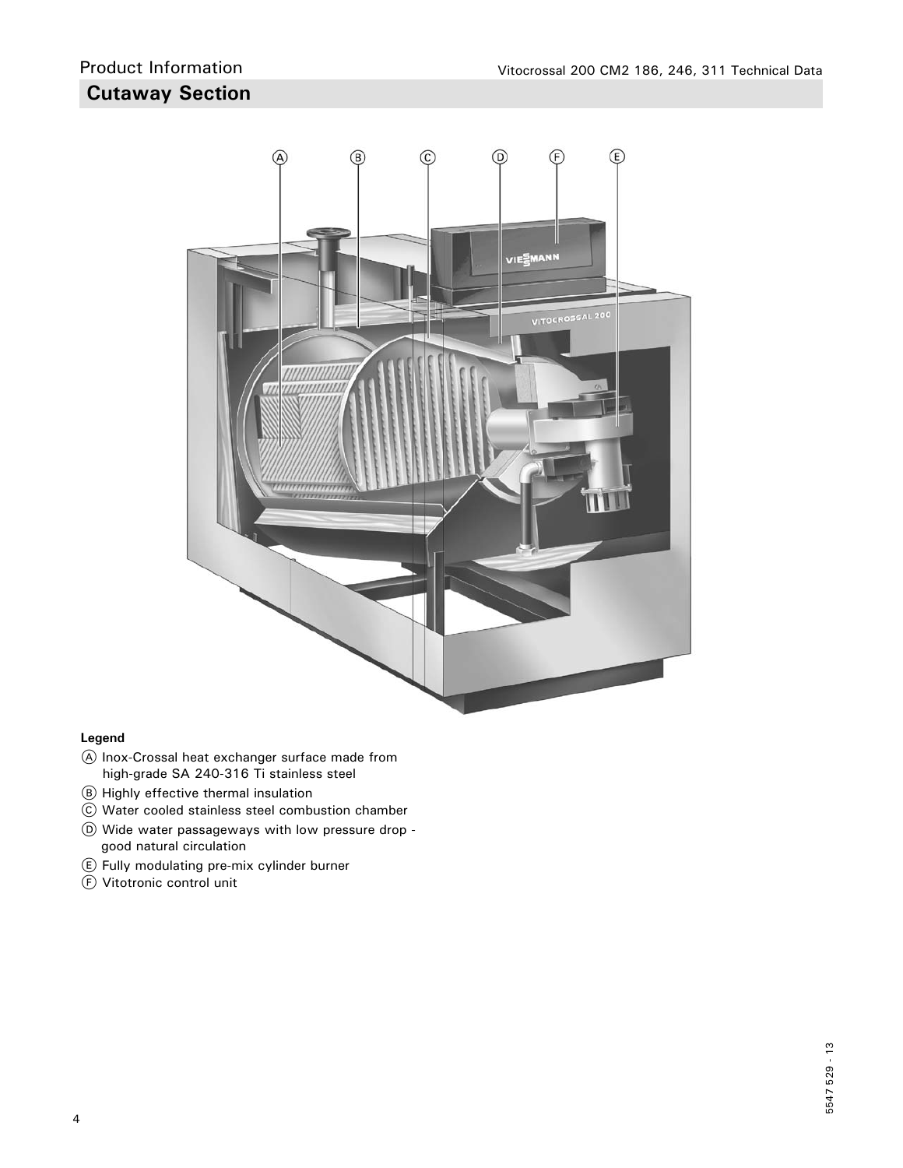

### **Legend**

- A Inox-Crossal heat exchanger surface made from high-grade SA 240-316 Ti stainless steel
- B Highly effective thermal insulation
- C Water cooled stainless steel combustion chamber
- D Wide water passageways with low pressure drop good natural circulation
- E Fully modulating pre-mix cylinder burner
- F Vitotronic control unit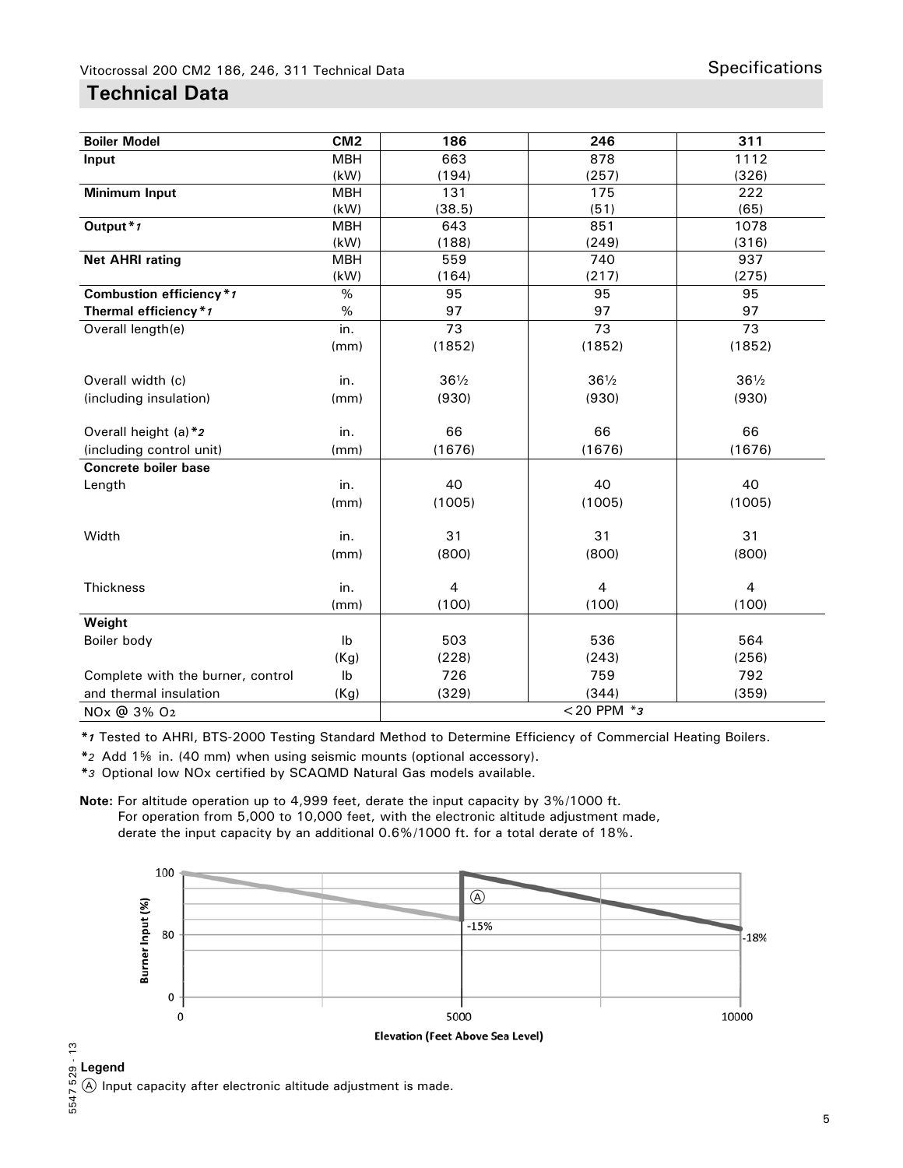### **Technical Data**

| <b>Boiler Model</b>               | CM <sub>2</sub> | 186                     | 246              | 311             |
|-----------------------------------|-----------------|-------------------------|------------------|-----------------|
| Input                             | <b>MBH</b>      | 663                     | 878              | 1112            |
|                                   | (kW)            | (194)                   | (257)            | (326)           |
| <b>Minimum Input</b>              | <b>MBH</b>      | 131                     | 175              | 222             |
|                                   | (kW)            | (38.5)                  | (51)             | (65)            |
| Output <sup>*</sup> 1             | <b>MBH</b>      | 643                     | 851              | 1078            |
|                                   | (kW)            | (188)                   | (249)            | (316)           |
| <b>Net AHRI rating</b>            | <b>MBH</b>      | 559                     | 740              | 937             |
|                                   | (kW)            | (164)                   | (217)            | (275)           |
| Combustion efficiency*1           | $\%$            | 95                      | 95               | 95              |
| Thermal efficiency*1              | $\%$            | 97                      | 97               | 97              |
| Overall length(e)                 | in.             | 73                      | 73               | 73              |
|                                   | (mm)            | (1852)                  | (1852)           | (1852)          |
|                                   |                 |                         |                  |                 |
| Overall width (c)                 | in.             | $36\frac{1}{2}$         | $36\frac{1}{2}$  | $36\frac{1}{2}$ |
| (including insulation)            | (mm)            | (930)                   | (930)            | (930)           |
|                                   |                 |                         |                  |                 |
| Overall height (a) *2             | in.             | 66                      | 66               | 66              |
| (including control unit)          | (mm)            | (1676)                  | (1676)           | (1676)          |
| <b>Concrete boiler base</b>       |                 |                         |                  |                 |
| Length                            | in.             | 40                      | 40               | 40              |
|                                   | (mm)            | (1005)                  | (1005)           | (1005)          |
|                                   |                 |                         |                  |                 |
| Width                             | in.             | 31                      | 31               | 31              |
|                                   | (mm)            | (800)                   | (800)            | (800)           |
|                                   |                 |                         |                  |                 |
| Thickness                         | in.             | $\overline{\mathbf{4}}$ | $\overline{4}$   | $\overline{4}$  |
|                                   | (mm)            | (100)                   | (100)            | (100)           |
| Weight                            |                 |                         |                  |                 |
| Boiler body                       | I <sub>b</sub>  | 503                     | 536              | 564             |
|                                   | (Kg)            | (228)                   | (243)            | (256)           |
| Complete with the burner, control | Ib              | 726                     | 759              | 792             |
| and thermal insulation            | (Kg)            | (329)                   | (344)            | (359)           |
| NOx @ 3% O <sub>2</sub>           |                 |                         | $<$ 20 PPM $*$ 3 |                 |

*\*1* Tested to AHRI, BTS-2000 Testing Standard Method to Determine Efficiency of Commercial Heating Boilers.

<sup>\*</sup><sup>2</sup> Add 1<sup>§</sup> in. (40 mm) when using seismic mounts (optional accessory).

*\*3* Optional low NOx certified by SCAQMD Natural Gas models available.

**Note:** For altitude operation up to 4,999 feet, derate the input capacity by 3%/1000 ft. For operation from 5,000 to 10,000 feet, with the electronic altitude adjustment made, derate the input capacity by an additional 0.6%/1000 ft. for a total derate of 18%.



ິງ<br>ລ**Legend**<br>ມີເ@ Inpu<br>ພິ A Input capacity after electronic altitude adjustment is made.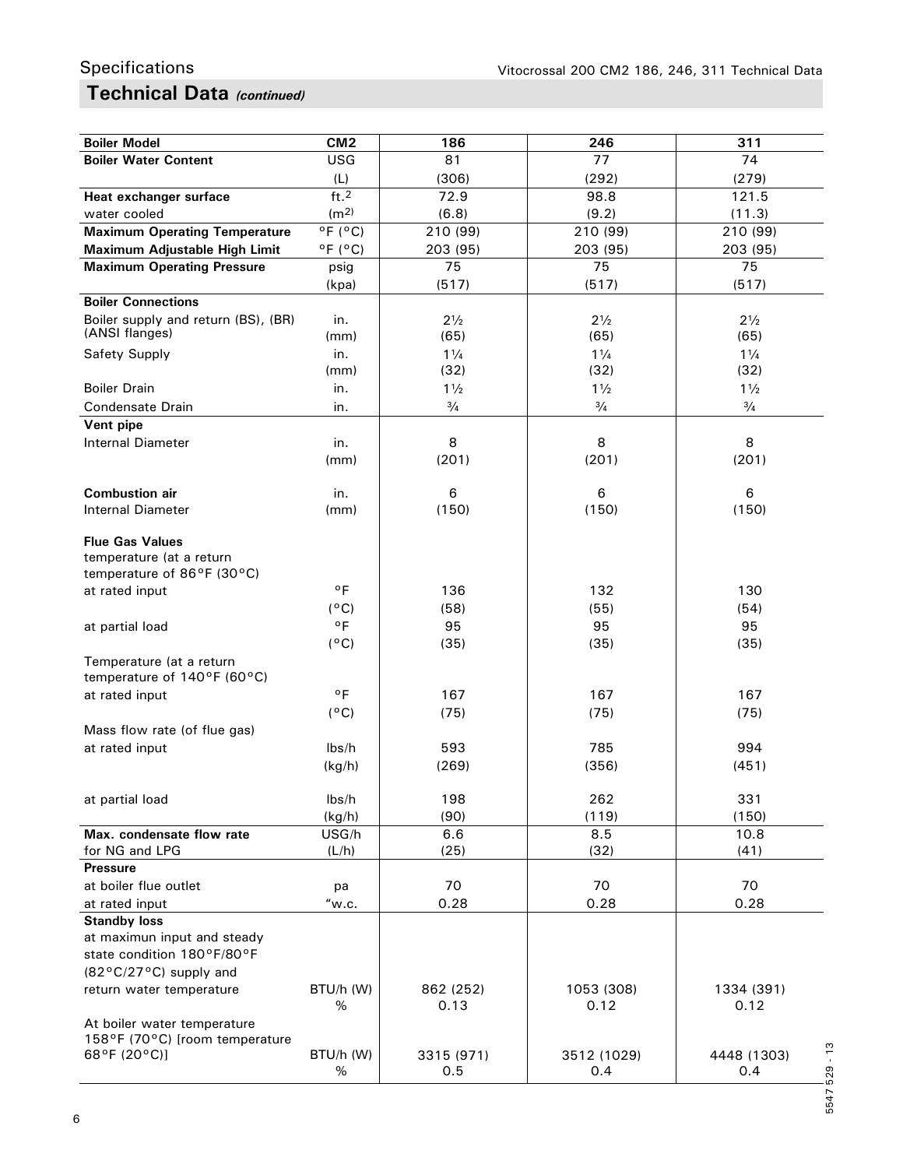## **Technical Data** *(continued)* Specifications

| <b>Boiler Model</b>                                     | CM <sub>2</sub>              | 186               | 246                | 311                  |
|---------------------------------------------------------|------------------------------|-------------------|--------------------|----------------------|
| <b>Boiler Water Content</b>                             | USG                          | 81                | 77                 | 74                   |
|                                                         | (L)                          | (306)             | (292)              | (279)                |
| Heat exchanger surface                                  | ft.2                         | 72.9              | 98.8               | 121.5                |
| water cooled                                            | (m <sup>2</sup> )            | (6.8)             | (9.2)              | (11.3)               |
| <b>Maximum Operating Temperature</b>                    | $^{\circ}$ F ( $^{\circ}$ C) | 210 (99)          | 210 (99)           | 210 (99)             |
| Maximum Adjustable High Limit                           | $^{\circ}$ F ( $^{\circ}$ C) | 203 (95)          | 203 (95)           | 203 (95)             |
| <b>Maximum Operating Pressure</b>                       | psig                         | 75                | 75                 | 75                   |
|                                                         | (kpa)                        | (517)             | (517)              | (517)                |
| <b>Boiler Connections</b>                               |                              |                   |                    |                      |
| Boiler supply and return (BS), (BR)                     | in.                          | $2\frac{1}{2}$    | $2\frac{1}{2}$     | $2\frac{1}{2}$       |
| (ANSI flanges)                                          | (mm)                         | (65)              | (65)               | (65)                 |
| Safety Supply                                           | in.                          | $1\frac{1}{4}$    | $1\frac{1}{4}$     | $1\frac{1}{4}$       |
|                                                         | (mm)                         | (32)              | (32)               | (32)                 |
| <b>Boiler Drain</b>                                     | in.                          | $1\frac{1}{2}$    | $1\frac{1}{2}$     | $1\frac{1}{2}$       |
| <b>Condensate Drain</b>                                 | in.                          | $\frac{3}{4}$     | $\frac{3}{4}$      | $\frac{3}{4}$        |
| Vent pipe                                               |                              |                   |                    |                      |
| <b>Internal Diameter</b>                                | in.                          | 8                 | 8                  | 8                    |
|                                                         | (mm)                         | (201)             | (201)              | (201)                |
|                                                         |                              |                   |                    |                      |
| <b>Combustion air</b><br><b>Internal Diameter</b>       | in.                          | 6                 | 6<br>(150)         | 6<br>(150)           |
|                                                         | (mm)                         | (150)             |                    |                      |
| <b>Flue Gas Values</b>                                  |                              |                   |                    |                      |
| temperature (at a return                                |                              |                   |                    |                      |
| temperature of 86°F (30°C)                              |                              |                   |                    |                      |
| at rated input                                          | $^{\circ}$ F                 | 136               | 132                | 130                  |
|                                                         | $(^{\circ}C)$                | (58)              | (55)               | (54)                 |
| at partial load                                         | $^{\circ}$ F                 | 95                | 95                 | 95                   |
|                                                         | $(^{\circ}C)$                | (35)              | (35)               | (35)                 |
| Temperature (at a return<br>temperature of 140°F (60°C) |                              |                   |                    |                      |
| at rated input                                          | $^{\circ}$ F                 | 167               | 167                | 167                  |
|                                                         | $(^{\circ}C)$                | (75)              | (75)               | (75)                 |
| Mass flow rate (of flue gas)                            |                              |                   |                    |                      |
| at rated input                                          | lbs/h                        | 593               | 785                | 994                  |
|                                                         | (kg/h)                       | (269)             | (356)              | (451)                |
|                                                         |                              |                   |                    |                      |
| at partial load                                         | lbs/h                        | 198               | 262                | 331                  |
|                                                         | (kg/h)                       | (90)              | (119)              | (150)                |
| Max. condensate flow rate                               | USG/h                        | 6.6               | 8.5                | 10.8                 |
| for NG and LPG                                          | (L/h)                        | (25)              | (32)               | (41)                 |
| <b>Pressure</b>                                         |                              |                   |                    |                      |
| at boiler flue outlet                                   | рa                           | 70                | 70                 | 70                   |
| at rated input                                          | "w.c.                        | 0.28              | 0.28               | 0.28                 |
| <b>Standby loss</b>                                     |                              |                   |                    |                      |
| at maximun input and steady                             |                              |                   |                    |                      |
| state condition 180°F/80°F                              |                              |                   |                    |                      |
| (82°C/27°C) supply and                                  |                              |                   |                    |                      |
| return water temperature                                | BTU/h (W)<br>$\%$            | 862 (252)<br>0.13 | 1053 (308)<br>0.12 | 1334 (391)<br>0.12   |
| At boiler water temperature                             |                              |                   |                    |                      |
| 158°F (70°C) [room temperature                          |                              |                   |                    |                      |
| 68°F (20°C)]                                            | BTU/h (W)                    | 3315 (971)        | 3512 (1029)        | $-13$<br>4448 (1303) |
|                                                         | %                            | 0.5               | 0.4                | 529<br>0.4           |
|                                                         |                              |                   |                    |                      |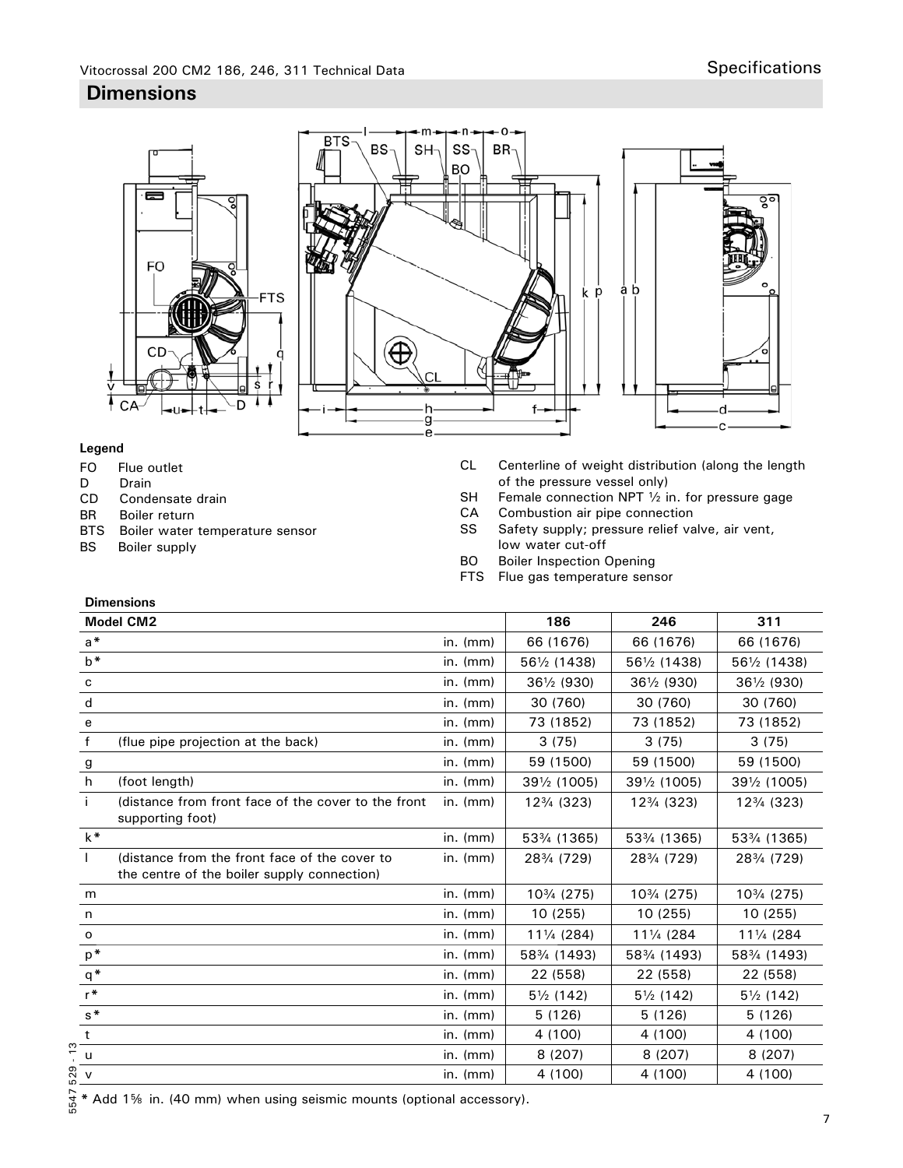# Vitocrossal 200 CM2 186, 246, 311 Technical Data Specifications

### **Dimensions**



### **Legend**

- FO Flue outlet
- D Drain

**Dimensions**

- CD Condensate drain
- BR Boiler return
- BTS Boiler water temperature sensor
- BS Boiler supply
- CL Centerline of weight distribution (along the length of the pressure vessel only)<br>SH Female connection NPT  $\frac{1}{2}$  in
- Female connection NPT  $\frac{1}{2}$  in. for pressure gage
- CA Combustion air pipe connection
- SS Safety supply; pressure relief valve, air vent, low water cut-off<br>BO Boiler Inspection (
- **Boiler Inspection Opening**
- FTS Flue gas temperature sensor

|              | טווטופווסוווע<br><b>Model CM2</b>                                                            |                | 186                  | 246                  | 311                  |
|--------------|----------------------------------------------------------------------------------------------|----------------|----------------------|----------------------|----------------------|
| $a^*$        |                                                                                              | in. $(mm)$     | 66 (1676)            | 66 (1676)            | 66 (1676)            |
| $b^*$        |                                                                                              | $in.$ ( $mm$ ) | 561/2 (1438)         | 561/2 (1438)         | 561/2 (1438)         |
| c            |                                                                                              | in. $(mm)$     | 361/2 (930)          | 361/2 (930)          | 361/2 (930)          |
| d            |                                                                                              | $in.$ ( $mm$ ) | 30 (760)             | 30 (760)             | 30 (760)             |
| e            |                                                                                              | $in.$ ( $mm$ ) | 73 (1852)            | 73 (1852)            | 73 (1852)            |
| f            | (flue pipe projection at the back)                                                           | $in.$ ( $mm$ ) | 3(75)                | 3(75)                | 3(75)                |
| g            |                                                                                              | $in.$ ( $mm$ ) | 59 (1500)            | 59 (1500)            | 59 (1500)            |
| h            | (foot length)                                                                                | in. $(mm)$     | 391/2 (1005)         | 391/2 (1005)         | 391/2 (1005)         |
| Ť.           | (distance from front face of the cover to the front<br>supporting foot)                      | $in.$ ( $mm$ ) | 123/4 (323)          | 123/4 (323)          | 123/4 (323)          |
| $k^*$        |                                                                                              | in. $(mm)$     | 533/4 (1365)         | 533/4 (1365)         | 533/4 (1365)         |
| $\mathbf{I}$ | (distance from the front face of the cover to<br>the centre of the boiler supply connection) | $in.$ ( $mm$ ) | 283/4 (729)          | 283/4 (729)          | 283/4 (729)          |
| m            |                                                                                              | in. $(mm)$     | 103/4 (275)          | 103/4 (275)          | 103/4 (275)          |
| n            |                                                                                              | in. $(mm)$     | 10(255)              | 10 (255)             | 10 (255)             |
| o            |                                                                                              | in. $(mm)$     | 111/4 (284)          | 111/4 (284)          | 111/4 (284)          |
| $p*$         |                                                                                              | in. $(mm)$     | 583/4 (1493)         | 583/4 (1493)         | 583/4 (1493)         |
| $q^*$        |                                                                                              | $in.$ ( $mm$ ) | 22 (558)             | 22 (558)             | 22 (558)             |
| $r*$         |                                                                                              | $in.$ ( $mm$ ) | $5\frac{1}{2}$ (142) | $5\frac{1}{2}$ (142) | $5\frac{1}{2}$ (142) |
| $s^*$        |                                                                                              | $in.$ ( $mm$ ) | 5(126)               | 5(126)               | 5(126)               |
| t            |                                                                                              | $in.$ ( $mm$ ) | 4 (100)              | 4 (100)              | 4 (100)              |
| u            |                                                                                              | $in.$ ( $mm$ ) | 8 (207)              | 8(207)               | 8 (207)              |
| $\mathsf{v}$ |                                                                                              | $in.$ ( $mm$ ) | 4 (100)              | 4 (100)              | 4 (100)              |

\* Add 1% in. (40 mm) when using seismic mounts (optional accessory).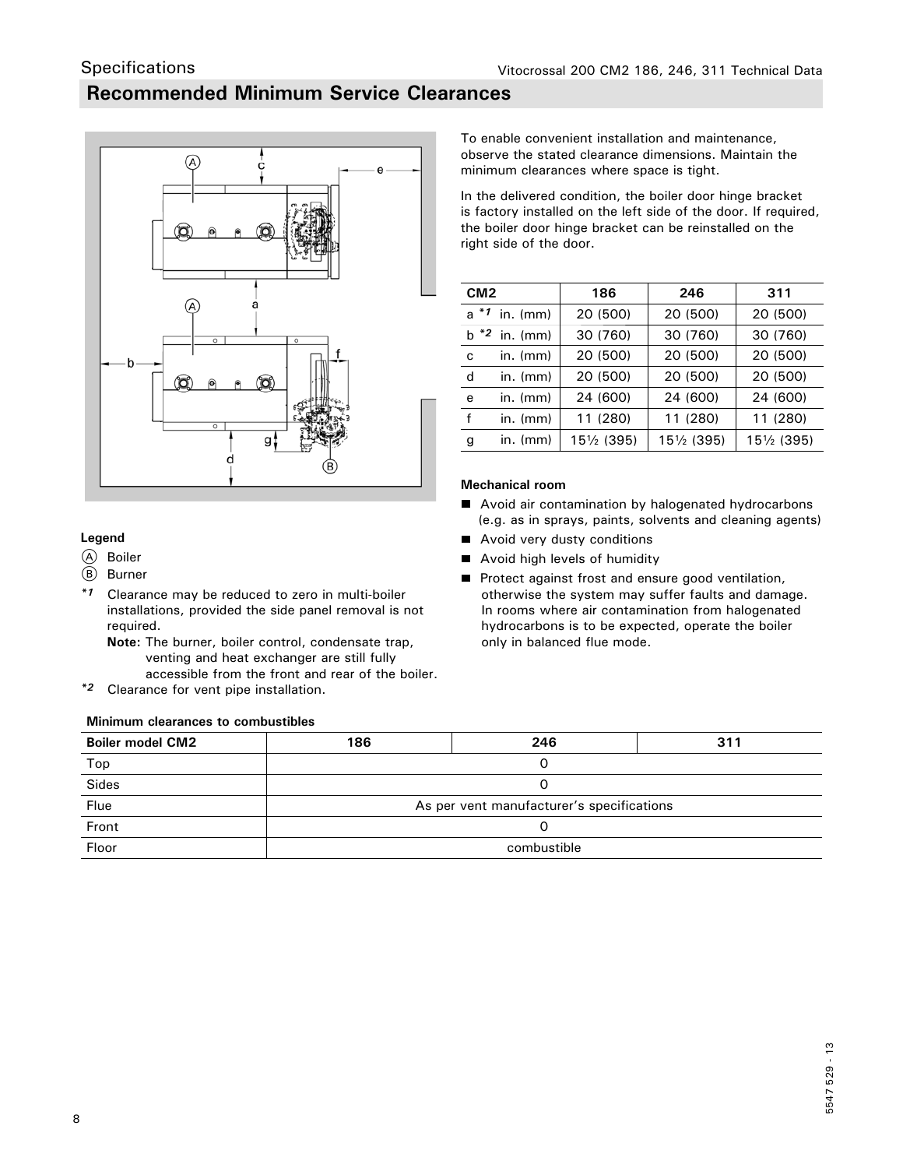## **Recommended Minimum Service Clearances**



### **Legend**

A Boiler

**Specifications** 

- (B) Burner
- *\*1* Clearance may be reduced to zero in multi-boiler installations, provided the side panel removal is not required.

 **Note:** The burner, boiler control, condensate trap, venting and heat exchanger are still fully accessible from the front and rear of the boiler.

*\*2* Clearance for vent pipe installation.

### **Minimum clearances to combustibles**

To enable convenient installation and maintenance, observe the stated clearance dimensions. Maintain the minimum clearances where space is tight.

In the delivered condition, the boiler door hinge bracket is factory installed on the left side of the door. If required, the boiler door hinge bracket can be reinstalled on the right side of the door.

| CM <sub>2</sub> |                 | 186         | 246         | 311         |
|-----------------|-----------------|-------------|-------------|-------------|
|                 | $a *1$ in. (mm) | 20 (500)    | 20 (500)    | 20 (500)    |
|                 | $b *2$ in. (mm) | 30 (760)    | 30 (760)    | 30 (760)    |
| C               | in. $(mm)$      | 20 (500)    | 20 (500)    | 20 (500)    |
| d               | $in.$ (mm)      | 20 (500)    | 20 (500)    | 20 (500)    |
| е               | $in.$ (mm)      | 24 (600)    | 24 (600)    | 24 (600)    |
| f               | $in.$ (mm)      | 11 (280)    | 11 (280)    | 11 (280)    |
| g               | in. (mm)        | 151/2 (395) | 151/2 (395) | 151/2 (395) |

### **Mechanical room**

- Avoid air contamination by halogenated hydrocarbons (e.g. as in sprays, paints, solvents and cleaning agents)
- Avoid very dusty conditions
- Avoid high levels of humidity
- **Protect against frost and ensure good ventilation,**  otherwise the system may suffer faults and damage. In rooms where air contamination from halogenated hydrocarbons is to be expected, operate the boiler only in balanced flue mode.

| <b>Boiler model CM2</b> | 186                                       | 246 | 311 |  |  |
|-------------------------|-------------------------------------------|-----|-----|--|--|
| Top                     |                                           |     |     |  |  |
| Sides                   |                                           |     |     |  |  |
| Flue                    | As per vent manufacturer's specifications |     |     |  |  |
| Front                   |                                           |     |     |  |  |
| Floor                   | combustible                               |     |     |  |  |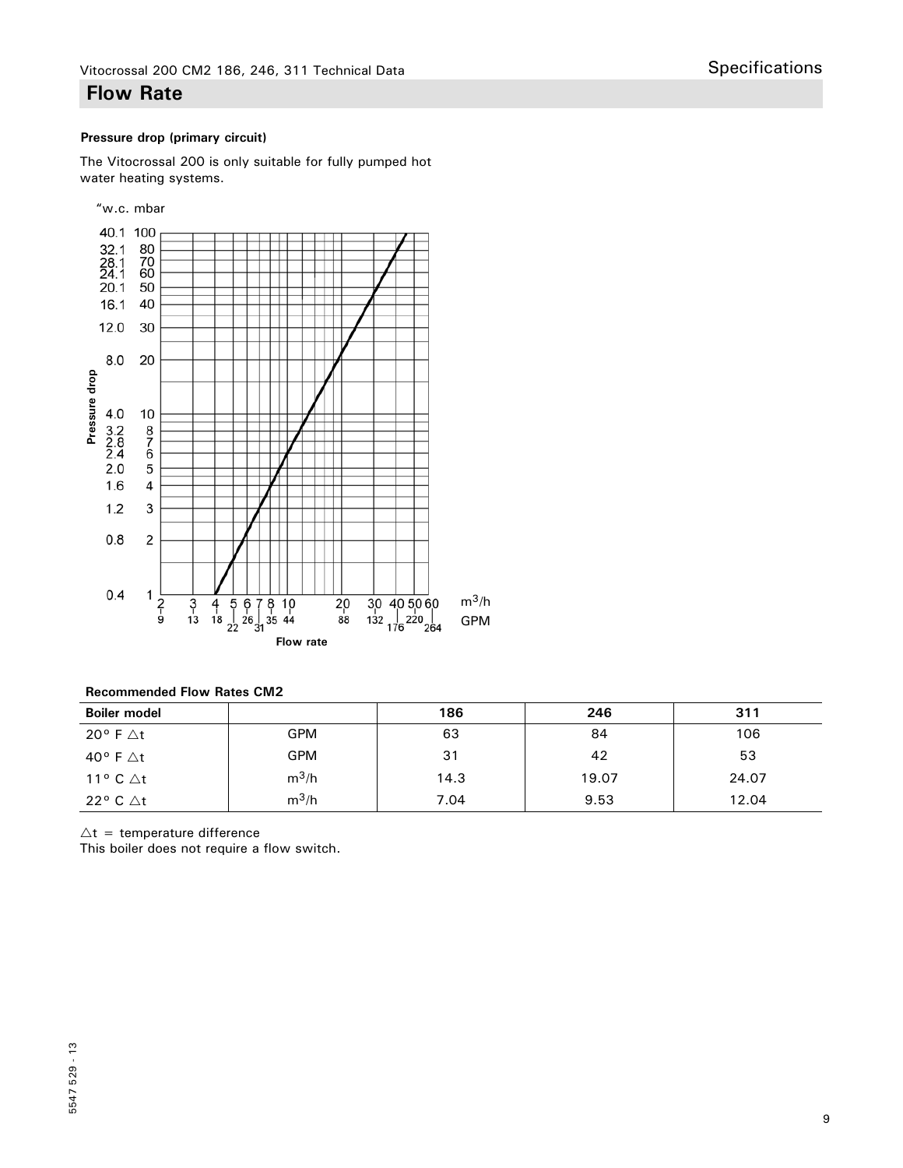### **Flow Rate**

### **Pressure drop (primary circuit)**

The Vitocrossal 200 is only suitable for fully pumped hot water heating systems.



| <b>Recommended Flow Rates CM2</b> |  |  |
|-----------------------------------|--|--|
|                                   |  |  |

| <b>Boiler model</b>           |            | 186  | 246   | 311   |
|-------------------------------|------------|------|-------|-------|
| 20 $^{\circ}$ F $\triangle$ t | <b>GPM</b> | 63   | 84    | 106   |
| 40° F ∆t                      | <b>GPM</b> | 31   | 42    | 53    |
| 11° C $\Delta t$              | $m^3/h$    | 14.3 | 19.07 | 24.07 |
| 22° C ∆t                      | $m^3/h$    | 7.04 | 9.53  | 12.04 |

 $\Delta t$  = temperature difference

This boiler does not require a flow switch.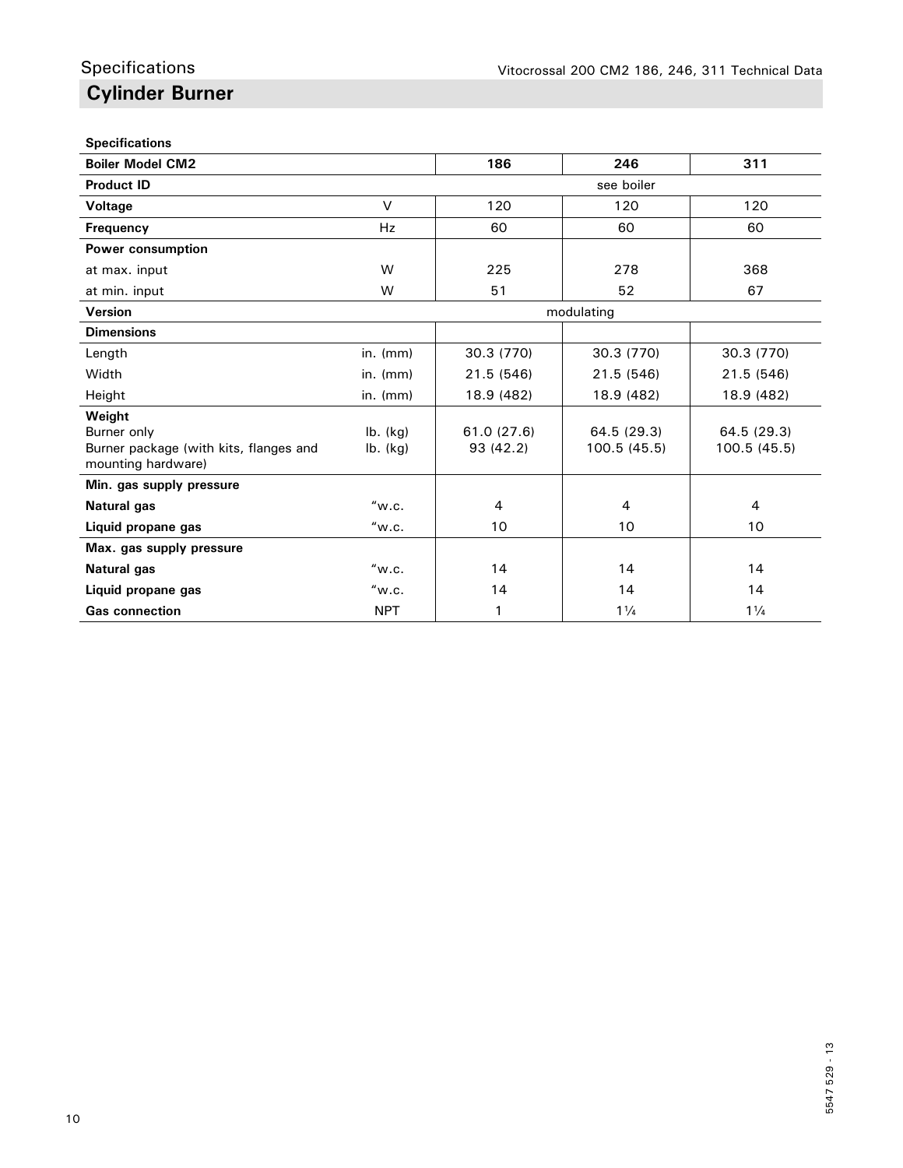### **Specifications**

| <b>Boiler Model CM2</b>                                                               |                          | 186                      | 246                         | 311                        |
|---------------------------------------------------------------------------------------|--------------------------|--------------------------|-----------------------------|----------------------------|
| <b>Product ID</b>                                                                     |                          |                          | see boiler                  |                            |
| Voltage                                                                               | $\vee$                   | 120                      | 120                         | 120                        |
| <b>Frequency</b>                                                                      | <b>Hz</b>                | 60                       | 60                          | 60                         |
| Power consumption                                                                     |                          |                          |                             |                            |
| at max. input                                                                         | W                        | 225                      | 278                         | 368                        |
| at min. input                                                                         | W                        | 51                       | 52                          | 67                         |
| Version                                                                               |                          |                          | modulating                  |                            |
| <b>Dimensions</b>                                                                     |                          |                          |                             |                            |
| Length                                                                                | $in.$ ( $mm$ )           | 30.3 (770)               | 30.3 (770)                  | 30.3 (770)                 |
| Width                                                                                 | $in.$ ( $mm$ )           | 21.5 (546)               | 21.5 (546)                  | 21.5 (546)                 |
| Height                                                                                | in. $(mm)$               | 18.9 (482)               | 18.9 (482)                  | 18.9 (482)                 |
| Weight<br>Burner only<br>Burner package (with kits, flanges and<br>mounting hardware) | $lb.$ (kg)<br>$lb.$ (kg) | 61.0 (27.6)<br>93 (42.2) | 64.5 (29.3)<br>100.5 (45.5) | 64.5 (29.3)<br>100.5(45.5) |
| Min. gas supply pressure                                                              |                          |                          |                             |                            |
| <b>Natural gas</b>                                                                    | "w.c.                    | $\overline{4}$           | 4                           | 4                          |
| Liquid propane gas                                                                    | "w.c.                    | 10                       | 10                          | 10                         |
| Max. gas supply pressure                                                              |                          |                          |                             |                            |
| <b>Natural gas</b>                                                                    | "w.c.                    | 14                       | 14                          | 14                         |
| Liquid propane gas                                                                    | "w.c.                    | 14                       | 14                          | 14                         |
| <b>Gas connection</b>                                                                 | <b>NPT</b>               | 1                        | $1\frac{1}{4}$              | $1\frac{1}{4}$             |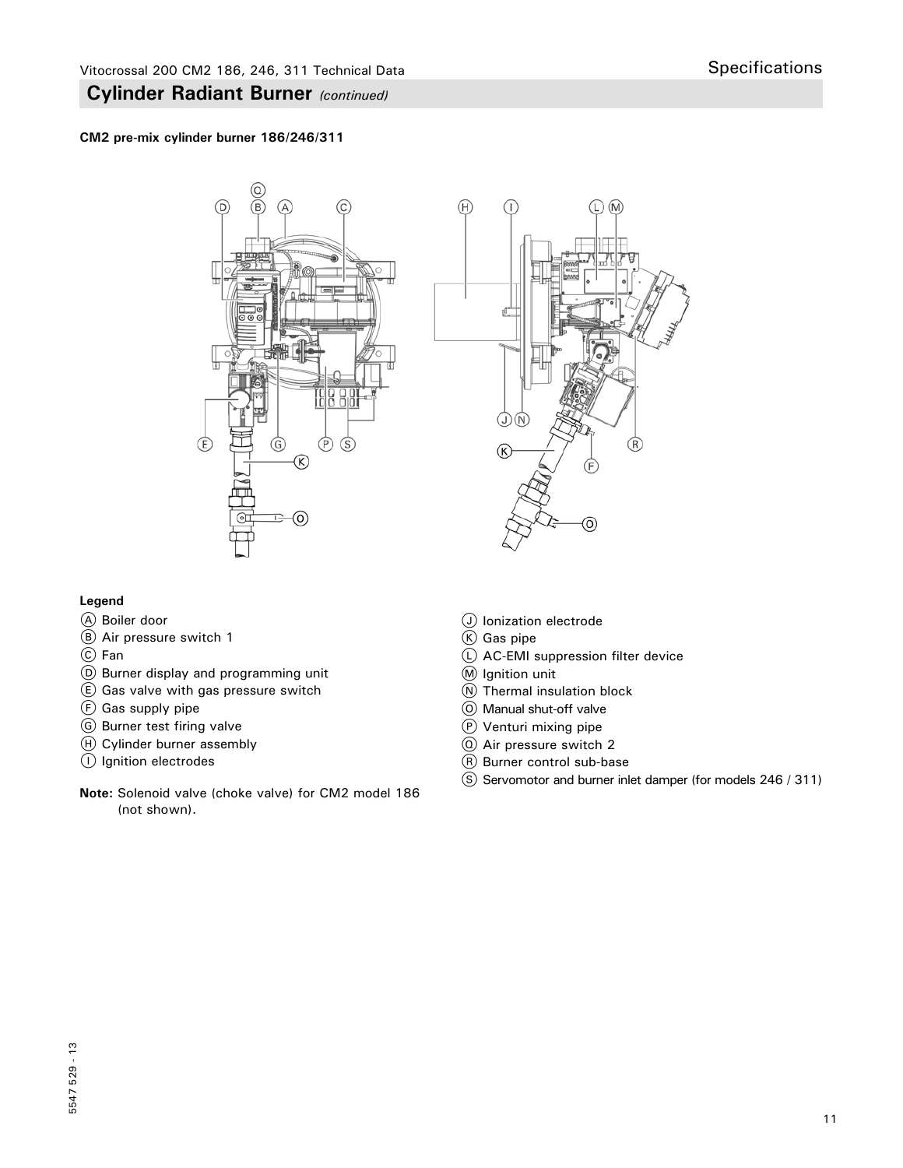### **CM2 pre-mix cylinder burner 186/246/311**





### **Legend**

- A Boiler door
- B Air pressure switch 1
- C Fan
- D Burner display and programming unit
- $E$  Gas valve with gas pressure switch
- $(F)$  Gas supply pipe
- G Burner test firing valve
- $H$  Cylinder burner assembly
- I Ignition electrodes
- **Note:** Solenoid valve (choke valve) for CM2 model 186 (not shown).
- J Ionization electrode
- $(K)$  Gas pipe
- L AC-EMI suppression filter device
- M Ignition unit
- $\overline{N}$  Thermal insulation block
- O Manual shut-off valve
- P Venturi mixing pipe
- Q Air pressure switch 2
- R Burner control sub-base
- S Servomotor and burner inlet damper (for models 246 / 311)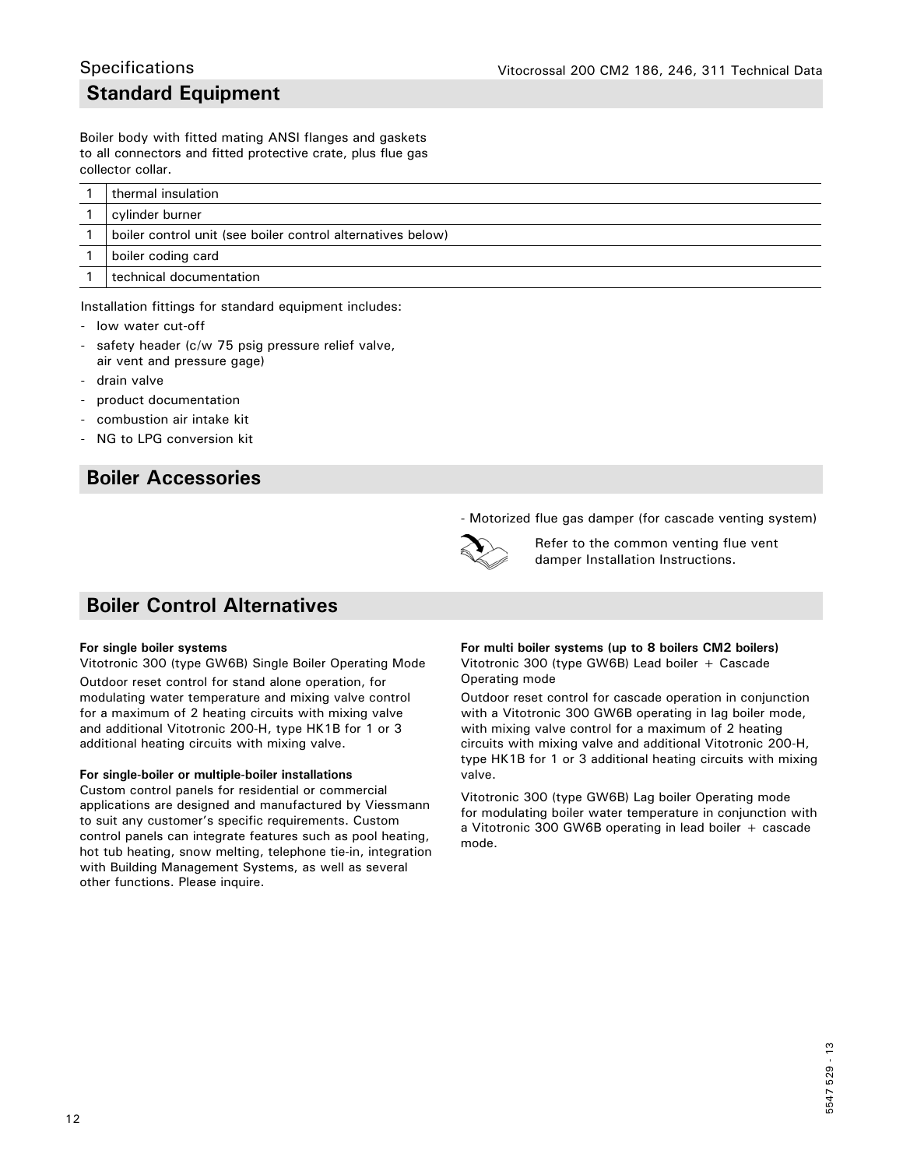### **Standard Equipment Specifications**

Boiler body with fitted mating ANSI flanges and gaskets to all connectors and fitted protective crate, plus flue gas collector collar.

| thermal insulation                                          |
|-------------------------------------------------------------|
| cylinder burner                                             |
| boiler control unit (see boiler control alternatives below) |
| boiler coding card                                          |
| technical documentation                                     |

Installation fittings for standard equipment includes:

- low water cut-off
- safety header (c/w 75 psig pressure relief valve, air vent and pressure gage)
- drain valve
- product documentation
- combustion air intake kit
- NG to LPG conversion kit

### **Boiler Accessories**

### **Boiler Control Alternatives**

#### **For single boiler systems**

Vitotronic 300 (type GW6B) Single Boiler Operating Mode Outdoor reset control for stand alone operation, for modulating water temperature and mixing valve control for a maximum of 2 heating circuits with mixing valve and additional Vitotronic 200-H, type HK1B for 1 or 3 additional heating circuits with mixing valve.

#### **For single-boiler or multiple-boiler installations**

Custom control panels for residential or commercial applications are designed and manufactured by Viessmann to suit any customer's specific requirements. Custom control panels can integrate features such as pool heating, hot tub heating, snow melting, telephone tie-in, integration with Building Management Systems, as well as several other functions. Please inquire.

- Motorized flue gas damper (for cascade venting system)



Refer to the common venting flue vent damper Installation Instructions.

### **For multi boiler systems (up to 8 boilers CM2 boilers)** Vitotronic 300 (type GW6B) Lead boiler + Cascade Operating mode

Outdoor reset control for cascade operation in conjunction with a Vitotronic 300 GW6B operating in lag boiler mode, with mixing valve control for a maximum of 2 heating circuits with mixing valve and additional Vitotronic 200-H, type HK1B for 1 or 3 additional heating circuits with mixing valve.

Vitotronic 300 (type GW6B) Lag boiler Operating mode for modulating boiler water temperature in conjunction with a Vitotronic 300 GW6B operating in lead boiler + cascade mode.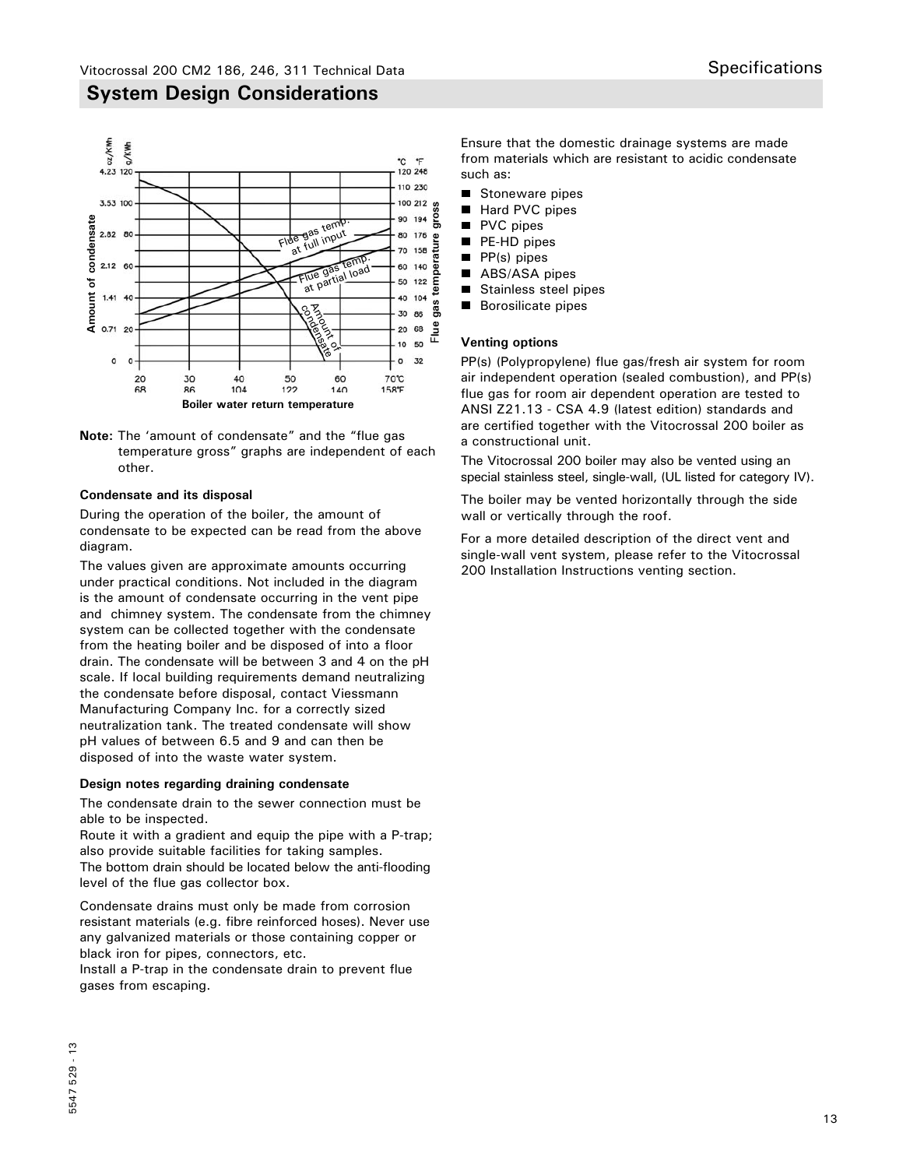

**Note:** The 'amount of condensate" and the "flue gas temperature gross" graphs are independent of each other.

### **Condensate and its disposal**

During the operation of the boiler, the amount of condensate to be expected can be read from the above diagram.

The values given are approximate amounts occurring under practical conditions. Not included in the diagram is the amount of condensate occurring in the vent pipe and chimney system. The condensate from the chimney system can be collected together with the condensate from the heating boiler and be disposed of into a floor drain. The condensate will be between 3 and 4 on the pH scale. If local building requirements demand neutralizing the condensate before disposal, contact Viessmann Manufacturing Company Inc. for a correctly sized neutralization tank. The treated condensate will show pH values of between 6.5 and 9 and can then be disposed of into the waste water system.

### **Design notes regarding draining condensate**

The condensate drain to the sewer connection must be able to be inspected.

Route it with a gradient and equip the pipe with a P-trap; also provide suitable facilities for taking samples. The bottom drain should be located below the anti-flooding level of the flue gas collector box.

Condensate drains must only be made from corrosion resistant materials (e.g. fibre reinforced hoses). Never use any galvanized materials or those containing copper or black iron for pipes, connectors, etc.

Install a P-trap in the condensate drain to prevent flue gases from escaping.

Ensure that the domestic drainage systems are made from materials which are resistant to acidic condensate such as:

- Stoneware pipes
- $\blacksquare$ Hard PVC pipes
- $\blacksquare$ PVC pipes
- п PE-HD pipes
- п PP(s) pipes
- ш ABS/ASA pipes
- $\blacksquare$ Stainless steel pipes
- Borosilicate pipes

### **Venting options**

PP(s) (Polypropylene) flue gas/fresh air system for room air independent operation (sealed combustion), and PP(s) flue gas for room air dependent operation are tested to ANSI Z21.13 - CSA 4.9 (latest edition) standards and are certified together with the Vitocrossal 200 boiler as a constructional unit.

The Vitocrossal 200 boiler may also be vented using an special stainless steel, single-wall, (UL listed for category IV).

The boiler may be vented horizontally through the side wall or vertically through the roof.

For a more detailed description of the direct vent and single-wall vent system, please refer to the Vitocrossal 200 Installation Instructions venting section.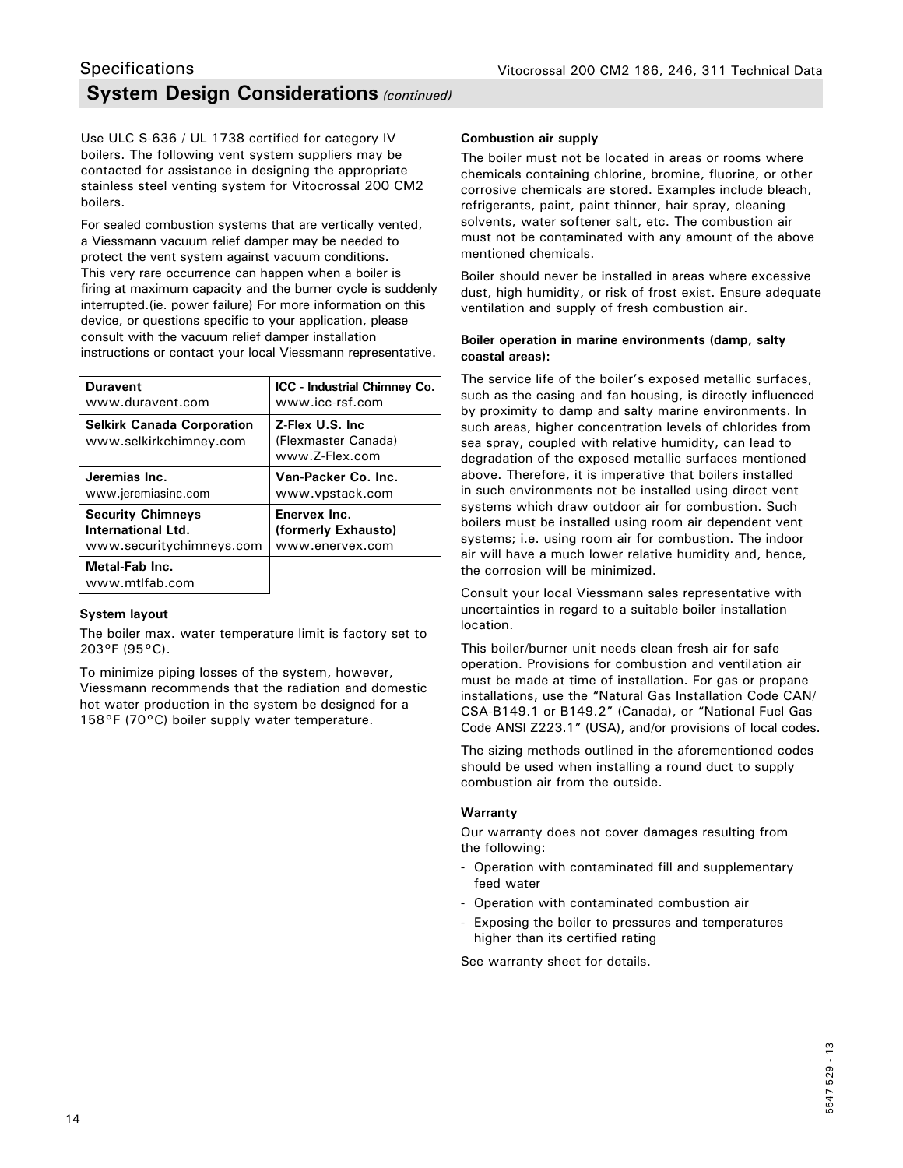### **System Design Considerations** *(continued)* **Specifications**

Use ULC S-636 / UL 1738 certified for category IV boilers. The following vent system suppliers may be contacted for assistance in designing the appropriate stainless steel venting system for Vitocrossal 200 CM2 boilers.

For sealed combustion systems that are vertically vented, a Viessmann vacuum relief damper may be needed to protect the vent system against vacuum conditions. This very rare occurrence can happen when a boiler is firing at maximum capacity and the burner cycle is suddenly interrupted.(ie. power failure) For more information on this device, or questions specific to your application, please consult with the vacuum relief damper installation instructions or contact your local Viessmann representative.

| <b>Duravent</b>                                             | <b>ICC</b> - Industrial Chimney Co.                       |
|-------------------------------------------------------------|-----------------------------------------------------------|
| www.duravent.com                                            | www.icc-rsf.com                                           |
| <b>Selkirk Canada Corporation</b><br>www.selkirkchimney.com | Z-Flex U.S. Inc.<br>(Flexmaster Canada)<br>www.7-Flex.com |
| Jeremias Inc.                                               | Van-Packer Co. Inc.                                       |
| www.jeremiasinc.com                                         | www.vpstack.com                                           |
| <b>Security Chimneys</b>                                    | Enervex Inc.                                              |
| International Ltd.                                          | (formerly Exhausto)                                       |
| www.securitychimneys.com                                    | www.enervex.com                                           |
| Metal-Fab Inc.<br>www.mtlfab.com                            |                                                           |

### **System layout**

The boiler max. water temperature limit is factory set to 203°F (95°C).

To minimize piping losses of the system, however, Viessmann recommends that the radiation and domestic hot water production in the system be designed for a 158°F (70°C) boiler supply water temperature.

### **Combustion air supply**

The boiler must not be located in areas or rooms where chemicals containing chlorine, bromine, fluorine, or other corrosive chemicals are stored. Examples include bleach, refrigerants, paint, paint thinner, hair spray, cleaning solvents, water softener salt, etc. The combustion air must not be contaminated with any amount of the above mentioned chemicals.

Boiler should never be installed in areas where excessive dust, high humidity, or risk of frost exist. Ensure adequate ventilation and supply of fresh combustion air.

#### **Boiler operation in marine environments (damp, salty coastal areas):**

The service life of the boiler's exposed metallic surfaces, such as the casing and fan housing, is directly influenced by proximity to damp and salty marine environments. In such areas, higher concentration levels of chlorides from sea spray, coupled with relative humidity, can lead to degradation of the exposed metallic surfaces mentioned above. Therefore, it is imperative that boilers installed in such environments not be installed using direct vent systems which draw outdoor air for combustion. Such boilers must be installed using room air dependent vent systems; i.e. using room air for combustion. The indoor air will have a much lower relative humidity and, hence, the corrosion will be minimized.

Consult your local Viessmann sales representative with uncertainties in regard to a suitable boiler installation location.

This boiler/burner unit needs clean fresh air for safe operation. Provisions for combustion and ventilation air must be made at time of installation. For gas or propane installations, use the "Natural Gas Installation Code CAN/ CSA-B149.1 or B149.2" (Canada), or "National Fuel Gas Code ANSI Z223.1" (USA), and/or provisions of local codes.

The sizing methods outlined in the aforementioned codes should be used when installing a round duct to supply combustion air from the outside.

### **Warranty**

Our warranty does not cover damages resulting from the following:

- Operation with contaminated fill and supplementary feed water
- Operation with contaminated combustion air
- Exposing the boiler to pressures and temperatures higher than its certified rating

See warranty sheet for details.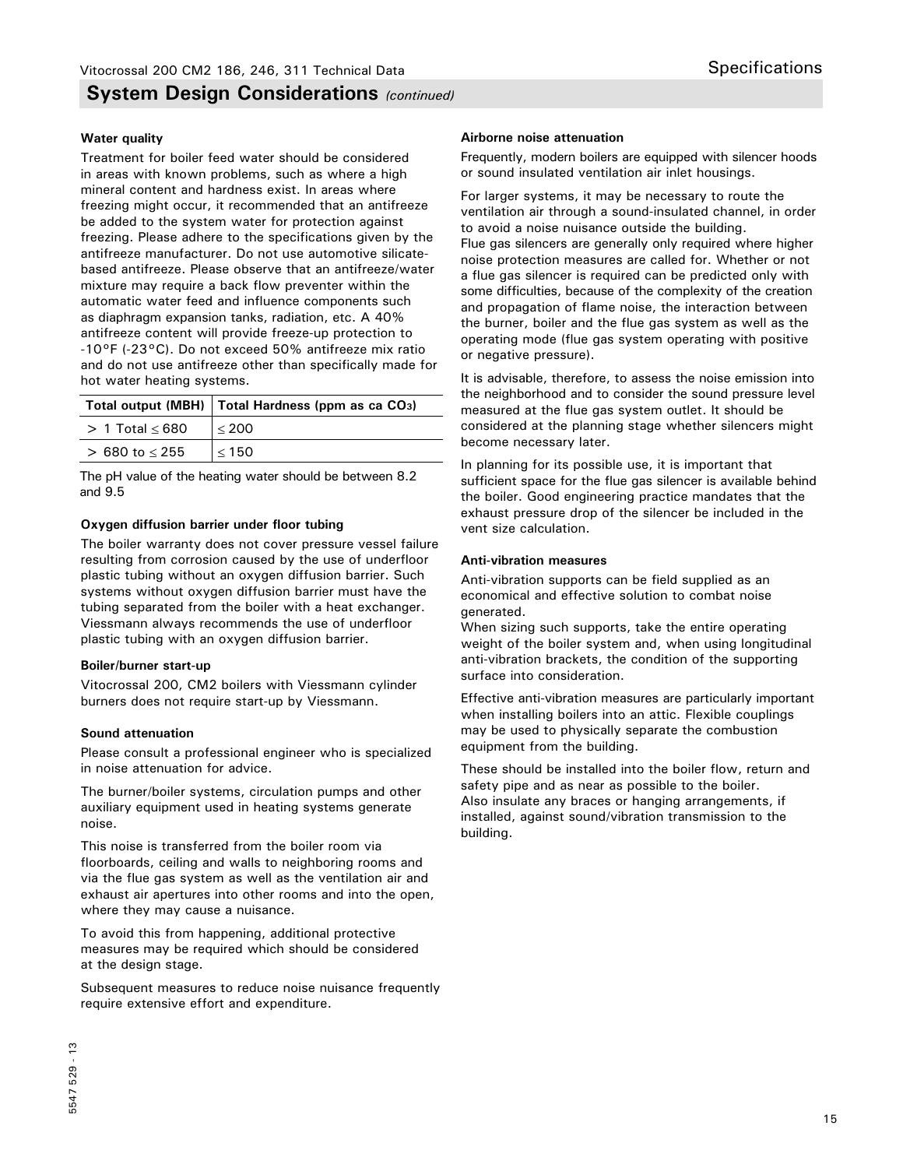### **System Design Considerations** *(continued)*

### **Water quality**

Treatment for boiler feed water should be considered in areas with known problems, such as where a high mineral content and hardness exist. In areas where freezing might occur, it recommended that an antifreeze be added to the system water for protection against freezing. Please adhere to the specifications given by the antifreeze manufacturer. Do not use automotive silicatebased antifreeze. Please observe that an antifreeze/water mixture may require a back flow preventer within the automatic water feed and influence components such as diaphragm expansion tanks, radiation, etc. A 40% antifreeze content will provide freeze-up protection to -10°F (-23°C). Do not exceed 50% antifreeze mix ratio and do not use antifreeze other than specifically made for hot water heating systems.

|                        | Total output (MBH)   Total Hardness (ppm as ca CO <sub>3</sub> ) |
|------------------------|------------------------------------------------------------------|
| $> 1$ Total $\leq 680$ | < 200                                                            |
| $> 680$ to $< 255$     | < 150                                                            |

The pH value of the heating water should be between 8.2 and 9.5

#### **Oxygen diffusion barrier under floor tubing**

The boiler warranty does not cover pressure vessel failure resulting from corrosion caused by the use of underfloor plastic tubing without an oxygen diffusion barrier. Such systems without oxygen diffusion barrier must have the tubing separated from the boiler with a heat exchanger. Viessmann always recommends the use of underfloor plastic tubing with an oxygen diffusion barrier.

#### **Boiler/burner start-up**

Vitocrossal 200, CM2 boilers with Viessmann cylinder burners does not require start-up by Viessmann.

#### **Sound attenuation**

Please consult a professional engineer who is specialized in noise attenuation for advice.

The burner/boiler systems, circulation pumps and other auxiliary equipment used in heating systems generate noise.

This noise is transferred from the boiler room via floorboards, ceiling and walls to neighboring rooms and via the flue gas system as well as the ventilation air and exhaust air apertures into other rooms and into the open, where they may cause a nuisance.

To avoid this from happening, additional protective measures may be required which should be considered at the design stage.

Subsequent measures to reduce noise nuisance frequently require extensive effort and expenditure.

### **Airborne noise attenuation**

Frequently, modern boilers are equipped with silencer hoods or sound insulated ventilation air inlet housings.

For larger systems, it may be necessary to route the ventilation air through a sound-insulated channel, in order to avoid a noise nuisance outside the building. Flue gas silencers are generally only required where higher noise protection measures are called for. Whether or not a flue gas silencer is required can be predicted only with some difficulties, because of the complexity of the creation and propagation of flame noise, the interaction between the burner, boiler and the flue gas system as well as the operating mode (flue gas system operating with positive or negative pressure).

It is advisable, therefore, to assess the noise emission into the neighborhood and to consider the sound pressure level measured at the flue gas system outlet. It should be considered at the planning stage whether silencers might become necessary later.

In planning for its possible use, it is important that sufficient space for the flue gas silencer is available behind the boiler. Good engineering practice mandates that the exhaust pressure drop of the silencer be included in the vent size calculation.

#### **Anti-vibration measures**

Anti-vibration supports can be field supplied as an economical and effective solution to combat noise generated.

When sizing such supports, take the entire operating weight of the boiler system and, when using longitudinal anti-vibration brackets, the condition of the supporting surface into consideration.

Effective anti-vibration measures are particularly important when installing boilers into an attic. Flexible couplings may be used to physically separate the combustion equipment from the building.

These should be installed into the boiler flow, return and safety pipe and as near as possible to the boiler. Also insulate any braces or hanging arrangements, if installed, against sound/vibration transmission to the building.